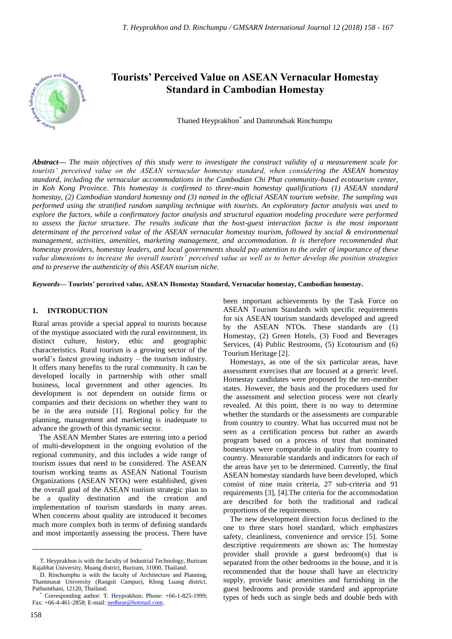

# **Tourists' Perceived Value on ASEAN Vernacular Homestay Standard in Cambodian Homestay**

Thaned Heyprakhon\* and Damrondsak Rinchumpu

*Abstract***—** *The main objectives of this study were to investigate the construct validity of a measurement scale for tourists' perceived value on the ASEAN vernacular homestay standard, when considering the ASEAN homestay standard, including the vernacular accommodations in the Cambodian Chi Phat community-based ecotourism center, in Koh Kong Province. This homestay is confirmed to three-main homestay qualifications (1) ASEAN standard homestay, (2) Cambodian standard homestay and (3) named in the official ASEAN tourism website. The sampling was performed using the stratified random sampling technique with tourists. An exploratory factor analysis was used to explore the factors, while a confirmatory factor analysis and structural equation modeling procedure were performed to assess the factor structure. The results indicate that the host-guest interaction factor is the most important determinant of the perceived value of the ASEAN vernacular homestay tourism, followed by social & environmental management, activities, amenities, marketing management, and accommodation. It is therefore recommended that homestay providers, homestay leaders, and local governments should pay attention to the order of importance of these value dimensions to increase the overall tourists' perceived value as well as to better develop the position strategies and to preserve the authenticity of this ASEAN tourism niche.*

*Keywords***— Tourists' perceived value, ASEAN Homestay Standard, Vernacular homestay, Cambodian homestay.**

#### **1. INTRODUCTION**

Rural areas provide a special appeal to tourists because of the mystique associated with the rural environment, its distinct culture, history, ethic and geographic characteristics. Rural tourism is a growing sector of the world"s fastest growing industry – the tourism industry. It offers many benefits to the rural community. It can be developed locally in partnership with other small business, local government and other agencies. Its development is not dependent on outside firms or companies and their decisions on whether they want to be in the area outside [1]. Regional policy for the planning, management and marketing is inadequate to advance the growth of this dynamic sector.

The ASEAN Member States are entering into a period of multi-development in the ongoing evolution of the regional community, and this includes a wide range of tourism issues that need to be considered. The ASEAN tourism working teams as ASEAN National Tourism Organizations (ASEAN NTOs) were established, given the overall goal of the ASEAN tourism strategic plan to be a quality destination and the creation and implementation of tourism standards in many areas. When concerns about quality are introduced it becomes much more complex both in terms of defining standards and most importantly assessing the process. There have

been important achievements by the Task Force on ASEAN Tourism Standards with specific requirements for six ASEAN tourism standards developed and agreed by the ASEAN NTOs. These standards are (1) Homestay, (2) Green Hotels, (3) Food and Beverages Services, (4) Public Restrooms, (5) Ecotourism and (6) Tourism Heritage [2].

Homestays, as one of the six particular areas, have assessment exercises that are focused at a generic level. Homestay candidates were proposed by the ten-member states. However, the basis and the procedures used for the assessment and selection process were not clearly revealed. At this point, there is no way to determine whether the standards or the assessments are comparable from country to country. What has occurred must not be seen as a certification process but rather an awards program based on a process of trust that nominated homestays were comparable in quality from country to country. Measurable standards and indicators for each of the areas have yet to be determined. Currently, the final ASEAN homestay standards have been developed, which consist of nine main criteria, 27 sub-criteria and 91 requirements [3], [4].The criteria for the accommodation are described for both the traditional and radical proportions of the requirements.

The new development direction focus declined to the one to three stars hotel standard, which emphasizes safety, cleanliness, convenience and service [5]. Some descriptive requirements are shown as: The homestay provider shall provide a guest bedroom(s) that is separated from the other bedrooms in the house, and it is recommended that the house shall have an electricity supply, provide basic amenities and furnishing in the guest bedrooms and provide standard and appropriate types of beds such as single beds and double beds with

 $\overline{a}$ 

T. Heyprakhon is with the faculty of Industrial Technology, Buriram Rajabhat University, Muang district, Buriram, 31000, Thailand.

D. Rinchumphu is with the faculty of Architecture and Planning, Thammasat University (Rangsit Campus), Klong Luang district, Pathumthani, 12120, Thailand.

Corresponding author: T. Heyprakhon; Phone: +66-1-825-1999; Fax: +66-4-461-2858; E-mail[: nedhear@hotmail.com.](mailto:nedhear@hotmail.com)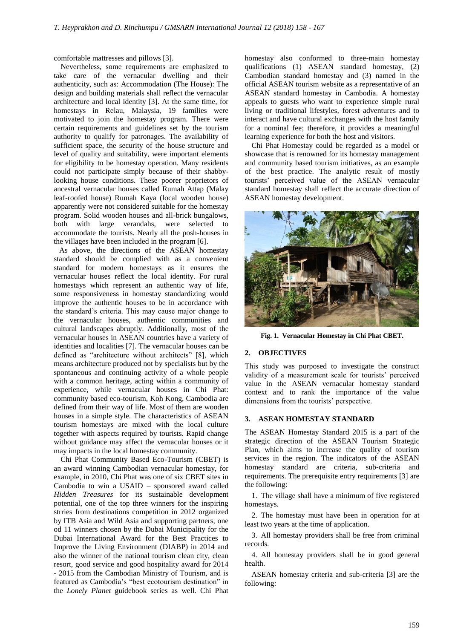comfortable mattresses and pillows [3].

Nevertheless, some requirements are emphasized to take care of the vernacular dwelling and their authenticity, such as: Accommodation (The House): The design and building materials shall reflect the vernacular architecture and local identity [3]. At the same time, for homestays in Relau, Malaysia, 19 families were motivated to join the homestay program. There were certain requirements and guidelines set by the tourism authority to qualify for patronages. The availability of sufficient space, the security of the house structure and level of quality and suitability, were important elements for eligibility to be homestay operation. Many residents could not participate simply because of their shabbylooking house conditions. These poorer proprietors of ancestral vernacular houses called Rumah Attap (Malay leaf-roofed house) Rumah Kaya (local wooden house) apparently were not considered suitable for the homestay program. Solid wooden houses and all-brick bungalows, both with large verandahs, were selected to accommodate the tourists. Nearly all the posh-houses in the villages have been included in the program [6].

As above, the directions of the ASEAN homestay standard should be complied with as a convenient standard for modern homestays as it ensures the vernacular houses reflect the local identity. For rural homestays which represent an authentic way of life, some responsiveness in homestay standardizing would improve the authentic houses to be in accordance with the standard"s criteria. This may cause major change to the vernacular houses, authentic communities and cultural landscapes abruptly. Additionally, most of the vernacular houses in ASEAN countries have a variety of identities and localities [7]. The vernacular houses can be defined as "architecture without architects" [8], which means architecture produced not by specialists but by the spontaneous and continuing activity of a whole people with a common heritage, acting within a community of experience, while vernacular houses in Chi Phat: community based eco-tourism, Koh Kong, Cambodia are defined from their way of life. Most of them are wooden houses in a simple style. The characteristics of ASEAN tourism homestays are mixed with the local culture together with aspects required by tourists. Rapid change without guidance may affect the vernacular houses or it may impacts in the local homestay community.

Chi Phat Community Based Eco-Tourism (CBET) is an award winning Cambodian vernacular homestay, for example, in 2010, Chi Phat was one of six CBET sites in Cambodia to win a USAID – sponsored award called *Hidden Treasures* for its sustainable development potential, one of the top three winners for the inspiring strries from destinations competition in 2012 organized by ITB Asia and Wild Asia and supporting partners, one od 11 winners chosen by the Dubai Municipality for the Dubai International Award for the Best Practices to Improve the Living Environment (DIABP) in 2014 and also the winner of the national tourism clean city, clean resort, good service and good hospitality award for 2014 - 2015 from the Cambodian Ministry of Tourism, and is featured as Cambodia"s "best ecotourism destination" in the *Lonely Planet* guidebook series as well. Chi Phat homestay also conformed to three-main homestay qualifications (1) ASEAN standard homestay, (2) Cambodian standard homestay and (3) named in the official ASEAN tourism website as a representative of an ASEAN standard homestay in Cambodia. A homestay appeals to guests who want to experience simple rural living or traditional lifestyles, forest adventures and to interact and have cultural exchanges with the host family for a nominal fee; therefore, it provides a meaningful learning experience for both the host and visitors.

Chi Phat Homestay could be regarded as a model or showcase that is renowned for its homestay management and community based tourism initiatives, as an example of the best practice. The analytic result of mostly tourists" perceived value of the ASEAN vernacular standard homestay shall reflect the accurate direction of ASEAN homestay development.



**Fig. 1. Vernacular Homestay in Chi Phat CBET.**

# **2. OBJECTIVES**

This study was purposed to investigate the construct validity of a measurement scale for tourists' perceived value in the ASEAN vernacular homestay standard context and to rank the importance of the value dimensions from the tourists' perspective.

# **3. ASEAN HOMESTAY STANDARD**

The ASEAN Homestay Standard 2015 is a part of the strategic direction of the ASEAN Tourism Strategic Plan, which aims to increase the quality of tourism services in the region. The indicators of the ASEAN homestay standard are criteria, sub-criteria and requirements. The prerequisite entry requirements [3] are the following:

1. The village shall have a minimum of five registered homestays.

2. The homestay must have been in operation for at least two years at the time of application.

3. All homestay providers shall be free from criminal records.

4. All homestay providers shall be in good general health.

ASEAN homestay criteria and sub-criteria [3] are the following: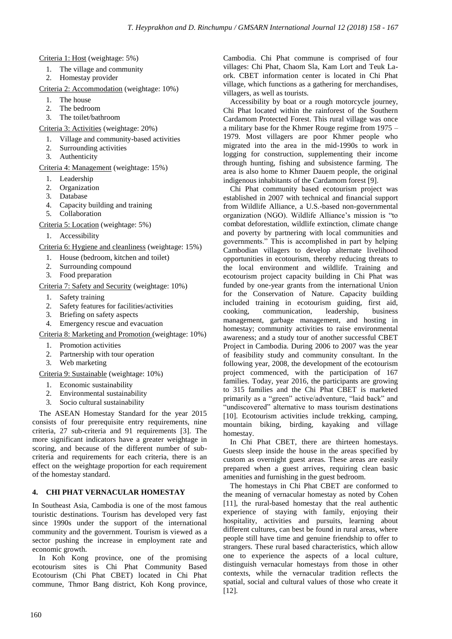Criteria 1: Host (weightage: 5%)

- 1. The village and community
- 2. Homestay provider

Criteria 2: Accommodation (weightage: 10%)

- 1. The house
- 2. The bedroom
- 3. The toilet/bathroom

Criteria 3: Activities (weightage: 20%)

- 1. Village and community-based activities
- 2. Surrounding activities
- 3. Authenticity

Criteria 4: Management (weightage: 15%)

- 1. Leadership
- 2. Organization
- 3. Database
- 4. Capacity building and training
- 5. Collaboration

Criteria 5: Location (weightage: 5%)

1. Accessibility

Criteria 6: Hygiene and cleanliness (weightage: 15%)

- 1. House (bedroom, kitchen and toilet)
- 2. Surrounding compound
- 3. Food preparation

Criteria 7: Safety and Security (weightage: 10%)

- 1. Safety training
- 2. Safety features for facilities/activities<br>3. Briefing on safety aspects
- 3. Briefing on safety aspects
- 4. Emergency rescue and evacuation

Criteria 8: Marketing and Promotion (weightage: 10%)

- 
- 1. Promotion activities<br>2. Partnership with tour Partnership with tour operation
- 3. Web marketing

Criteria 9: Sustainable (weightage: 10%)

- 1. Economic sustainability
- 2. Environmental sustainability
- 3. Socio cultural sustainability

The ASEAN Homestay Standard for the year 2015 consists of four prerequisite entry requirements, nine criteria, 27 sub-criteria and 91 requirements [3]. The more significant indicators have a greater weightage in scoring, and because of the different number of subcriteria and requirements for each criteria, there is an effect on the weightage proportion for each requirement of the homestay standard.

# **4. CHI PHAT VERNACULAR HOMESTAY**

In Southeast Asia, Cambodia is one of the most famous touristic destinations. Tourism has developed very fast since 1990s under the support of the international community and the government. Tourism is viewed as a sector pushing the increase in employment rate and economic growth.

In Koh Kong province, one of the promising ecotourism sites is Chi Phat Community Based Ecotourism (Chi Phat CBET) located in Chi Phat commune, Thmor Bang district, Koh Kong province, Cambodia. Chi Phat commune is comprised of four villages: Chi Phat, Chaom Sla, Kam Lort and Teuk Laork. CBET information center is located in Chi Phat village, which functions as a gathering for merchandises, villagers, as well as tourists.

Accessibility by boat or a rough motorcycle journey, Chi Phat located within the rainforest of the Southern Cardamom Protected Forest. This rural village was once a military base for the Khmer Rouge regime from 1975 – 1979. Most villagers are poor Khmer people who migrated into the area in the mid-1990s to work in logging for construction, supplementing their income through hunting, fishing and subsistence farming. The area is also home to Khmer Dauem people, the original indigenous inhabitants of the Cardamom forest [9].

Chi Phat community based ecotourism project was established in 2007 with technical and financial support from Wildlife Alliance, a U.S.-based non-governmental organization (NGO). Wildlife Alliance"s mission is "to combat deforestation, wildlife extinction, climate change and poverty by partnering with local communities and governments." This is accomplished in part by helping Cambodian villagers to develop alternate livelihood opportunities in ecotourism, thereby reducing threats to the local environment and wildlife. Training and ecotourism project capacity building in Chi Phat was funded by one-year grants from the international Union for the Conservation of Nature. Capacity building included training in ecotourism guiding, first aid, cooking, communication, leadership, business management, garbage management, and hosting in homestay; community activities to raise environmental awareness; and a study tour of another successful CBET Project in Cambodia. During 2006 to 2007 was the year of feasibility study and community consultant. In the following year, 2008, the development of the ecotourism project commenced, with the participation of 167 families. Today, year 2016, the participants are growing to 315 families and the Chi Phat CBET is marketed primarily as a "green" active/adventure, "laid back" and "undiscovered" alternative to mass tourism destinations [10]. Ecotourism activities include trekking, camping, mountain biking, birding, kayaking and village homestay.

In Chi Phat CBET, there are thirteen homestays. Guests sleep inside the house in the areas specified by custom as overnight guest areas. These areas are easily prepared when a guest arrives, requiring clean basic amenities and furnishing in the guest bedroom.

The homestays in Chi Phat CBET are conformed to the meaning of vernacular homestay as noted by Cohen [11], the rural-based homestay that the real authentic experience of staying with family, enjoying their hospitality, activities and pursuits, learning about different cultures, can best be found in rural areas, where people still have time and genuine friendship to offer to strangers. These rural based characteristics, which allow one to experience the aspects of a local culture, distinguish vernacular homestays from those in other contexts, while the vernacular tradition reflects the spatial, social and cultural values of those who create it [12].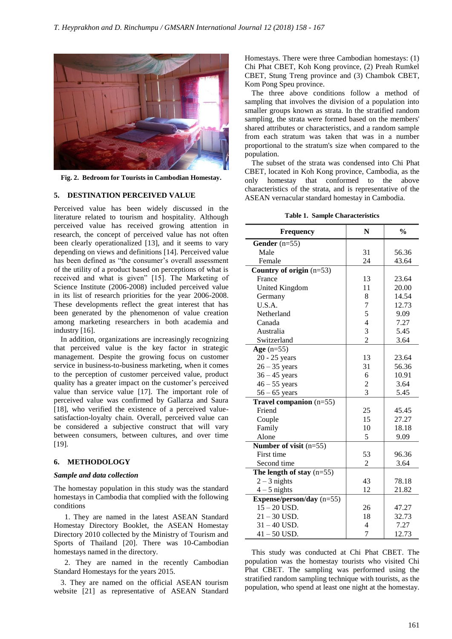

**Fig. 2. Bedroom for Tourists in Cambodian Homestay.**

## **5. DESTINATION PERCEIVED VALUE**

Perceived value has been widely discussed in the literature related to tourism and hospitality. Although perceived value has received growing attention in research, the concept of perceived value has not often been clearly operationalized [13], and it seems to vary depending on views and definitions [14]. Perceived value has been defined as "the consumer's overall assessment of the utility of a product based on perceptions of what is received and what is given" [15]. The Marketing of Science Institute (2006-2008) included perceived value in its list of research priorities for the year 2006-2008. These developments reflect the great interest that has been generated by the phenomenon of value creation among marketing researchers in both academia and industry [16].

In addition, organizations are increasingly recognizing that perceived value is the key factor in strategic management. Despite the growing focus on customer service in business-to-business marketing, when it comes to the perception of customer perceived value, product quality has a greater impact on the customer"s perceived value than service value [17]. The important role of perceived value was confirmed by Gallarza and Saura [18], who verified the existence of a perceived valuesatisfaction-loyalty chain. Overall, perceived value can be considered a subjective construct that will vary between consumers, between cultures, and over time [19].

#### **6. METHODOLOGY**

#### *Sample and data collection*

The homestay population in this study was the standard homestays in Cambodia that complied with the following conditions

1. They are named in the latest ASEAN Standard Homestay Directory Booklet, the ASEAN Homestay Directory 2010 collected by the Ministry of Tourism and Sports of Thailand [20]. There was 10-Cambodian homestays named in the directory.

2. They are named in the recently Cambodian Standard Homestays for the years 2015.

3. They are named on the official ASEAN tourism website [21] as representative of ASEAN Standard Homestays. There were three Cambodian homestays: (1) Chi Phat CBET, Koh Kong province, (2) Preah Rumkel CBET, Stung Treng province and (3) Chambok CBET, Kom Pong Speu province.

The three above conditions follow a method of sampling that involves the division of a population into smaller groups known as strata. In the stratified random sampling, the strata were formed based on the members' shared attributes or characteristics, and a random sample from each stratum was taken that was in a number proportional to the stratum's size when compared to the population.

The subset of the strata was condensed into Chi Phat CBET, located in Koh Kong province, Cambodia, as the only homestay that conformed to the above characteristics of the strata, and is representative of the ASEAN vernacular standard homestay in Cambodia.

**Table 1. Sample Characteristics**

| <b>Frequency</b>            | N                       | $\frac{0}{0}$ |
|-----------------------------|-------------------------|---------------|
| Gender $(n=55)$             |                         |               |
| Male                        | 31                      | 56.36         |
| Female                      | 24                      | 43.64         |
| Country of origin (n=53)    |                         |               |
| France                      | 13                      | 23.64         |
| United Kingdom              | 11                      | 20.00         |
| Germany                     | 8                       | 14.54         |
| U.S.A.                      | $\overline{7}$          | 12.73         |
| Netherland                  | 5                       | 9.09          |
| Canada                      | $\overline{\mathbf{4}}$ | 7.27          |
| Australia                   | 3                       | 5.45          |
| Switzerland                 | $\overline{2}$          | 3.64          |
| Age $(n=55)$                |                         |               |
| 20 - 25 years               | 13                      | 23.64         |
| $26 - 35$ years             | 31                      | 56.36         |
| $36 - 45$ years             | 6                       | 10.91         |
| $46 - 55$ years             | $\overline{c}$          | 3.64          |
| $56 - 65$ years             | $\overline{3}$          | 5.45          |
| Travel companion $(n=55)$   |                         |               |
| Friend                      | 25                      | 45.45         |
| Couple                      | 15                      | 27.27         |
| Family                      | 10                      | 18.18         |
| Alone                       | 5                       | 9.09          |
| Number of visit $(n=55)$    |                         |               |
| First time                  | 53                      | 96.36         |
| Second time                 | 2                       | 3.64          |
| The length of stay $(n=55)$ |                         |               |
| $2 - 3$ nights              | 43                      | 78.18         |
| $4-5$ nights                | 12                      | 21.82         |
| Expense/person/day $(n=55)$ |                         |               |
| $15 - 20$ USD.              | 26                      | 47.27         |
| $21 - 30$ USD.              | 18                      | 32.73         |
| $31 - 40$ USD.              | $\overline{4}$          | 7.27          |
| $41 - 50$ USD.              | 7                       | 12.73         |

This study was conducted at Chi Phat CBET. The population was the homestay tourists who visited Chi Phat CBET. The sampling was performed using the stratified random sampling technique with tourists, as the population, who spend at least one night at the homestay.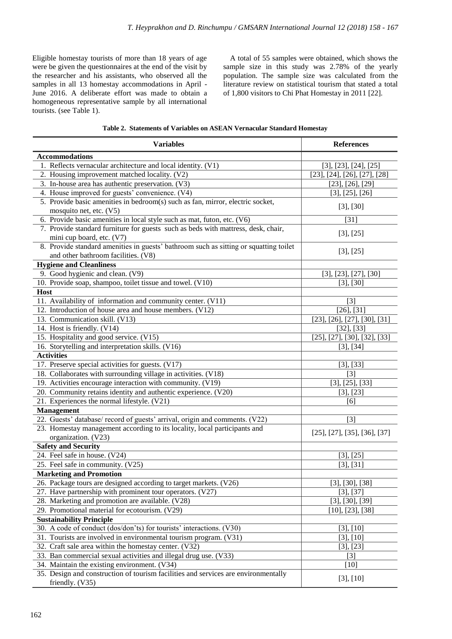Eligible homestay tourists of more than 18 years of age were be given the questionnaires at the end of the visit by the researcher and his assistants, who observed all the samples in all 13 homestay accommodations in April - June 2016. A deliberate effort was made to obtain a homogeneous representative sample by all international tourists. (see Table 1).

A total of 55 samples were obtained, which shows the sample size in this study was 2.78% of the yearly population. The sample size was calculated from the literature review on statistical tourism that stated a total of 1,800 visitors to Chi Phat Homestay in 2011 [22].

|  | Table 2. Statements of Variables on ASEAN Vernacular Standard Homestay |  |  |  |  |  |
|--|------------------------------------------------------------------------|--|--|--|--|--|
|--|------------------------------------------------------------------------|--|--|--|--|--|

| <b>Variables</b>                                                                                        | <b>References</b>                          |
|---------------------------------------------------------------------------------------------------------|--------------------------------------------|
| <b>Accommodations</b>                                                                                   |                                            |
| 1. Reflects vernacular architecture and local identity. (V1)                                            | [3], [23], [24], [25]                      |
| 2. Housing improvement matched locality. (V2)                                                           | [23], [24], [26], [27], [28]               |
| 3. In-house area has authentic preservation. (V3)                                                       | $[23]$ , $[26]$ , $[29]$                   |
| 4. House improved for guests' convenience. (V4)                                                         | [3], [25], [26]                            |
| 5. Provide basic amenities in bedroom(s) such as fan, mirror, electric socket,                          |                                            |
| mosquito net, etc. (V5)                                                                                 | [3], [30]                                  |
| 6. Provide basic amenities in local style such as mat, futon, etc. (V6)                                 | $[31]$                                     |
| 7. Provide standard furniture for guests such as beds with mattress, desk, chair,                       | [3], [25]                                  |
| mini cup board, etc. (V7)                                                                               |                                            |
| 8. Provide standard amenities in guests' bathroom such as sitting or squatting toilet                   | [3], [25]                                  |
| and other bathroom facilities. (V8)                                                                     |                                            |
| <b>Hygiene and Cleanliness</b>                                                                          |                                            |
| 9. Good hygienic and clean. (V9)                                                                        | [3], [23], [27], [30]                      |
| 10. Provide soap, shampoo, toilet tissue and towel. (V10)                                               | $[3]$ , $[30]$                             |
| <b>Host</b>                                                                                             |                                            |
| 11. Availability of information and community center. (V11)                                             | [3]                                        |
| 12. Introduction of house area and house members. (V12)                                                 | $[26]$ , $[31]$                            |
| 13. Communication skill. (V13)                                                                          | $[23]$ , $[26]$ , $[27]$ , $[30]$ , $[31]$ |
| 14. Host is friendly. (V14)                                                                             | $[32]$ , $[33]$                            |
| 15. Hospitality and good service. (V15)                                                                 | [25], [27], [30], [32], [33]               |
| 16. Storytelling and interpretation skills. (V16)                                                       | [3], [34]                                  |
| <b>Activities</b>                                                                                       |                                            |
| 17. Preserve special activities for guests. (V17)                                                       | [3], [33]                                  |
| 18. Collaborates with surrounding village in activities. (V18)                                          | $[3]$                                      |
| 19. Activities encourage interaction with community. (V19)                                              | [3], [25], [33]                            |
| 20. Community retains identity and authentic experience. (V20)                                          | [3], [23]                                  |
| 21. Experiences the normal lifestyle. (V21)                                                             | [6]                                        |
| Management                                                                                              |                                            |
| 22. Guests' database/ record of guests' arrival, origin and comments. (V22)                             | $[3]$                                      |
| 23. Homestay management according to its locality, local participants and<br>organization. (V23)        | $[25]$ , $[27]$ , $[35]$ , $[36]$ , $[37]$ |
| <b>Safety and Security</b>                                                                              |                                            |
| 24. Feel safe in house. (V24)                                                                           | [3], [25]                                  |
| 25. Feel safe in community. (V25)                                                                       | [3], [31]                                  |
| <b>Marketing and Promotion</b>                                                                          |                                            |
| 26. Package tours are designed according to target markets. (V26)                                       | $[3]$ , $[30]$ , $[38]$                    |
| 27. Have partnership with prominent tour operators. (V27)                                               | [3], [37]                                  |
| 28. Marketing and promotion are available. (V28)                                                        | $[3]$ , $[30]$ , $[39]$                    |
| 29. Promotional material for ecotourism. (V29)                                                          | [10], [23], [38]                           |
| <b>Sustainability Principle</b>                                                                         |                                            |
| 30. A code of conduct (dos/don'ts) for tourists' interactions. (V30)                                    | [3], [10]                                  |
| 31. Tourists are involved in environmental tourism program. (V31)                                       | $[3]$ , $[10]$                             |
| 32. Craft sale area within the homestay center. (V32)                                                   | [3], [23]                                  |
| 33. Ban commercial sexual activities and illegal drug use. (V33)                                        | $[3]$                                      |
| 34. Maintain the existing environment. (V34)                                                            | $[10]$                                     |
| 35. Design and construction of tourism facilities and services are environmentally<br>friendly. $(V35)$ | [3], [10]                                  |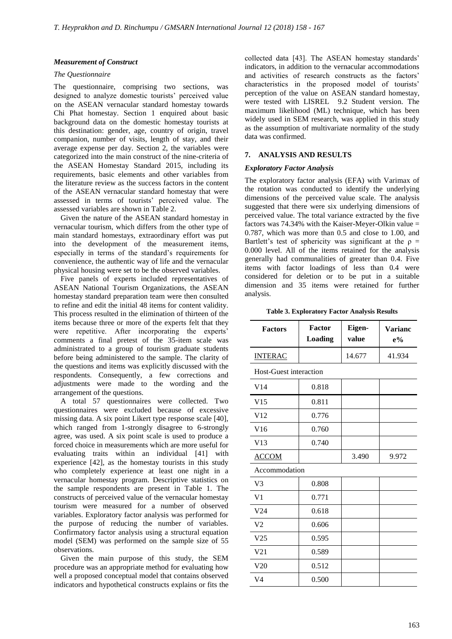## *Measurement of Construct*

### *The Questionnaire*

The questionnaire, comprising two sections, was designed to analyze domestic tourists' perceived value on the ASEAN vernacular standard homestay towards Chi Phat homestay. Section 1 enquired about basic background data on the domestic homestay tourists at this destination: gender, age, country of origin, travel companion, number of visits, length of stay, and their average expense per day. Section 2, the variables were categorized into the main construct of the nine-criteria of the ASEAN Homestay Standard 2015, including its requirements, basic elements and other variables from the literature review as the success factors in the content of the ASEAN vernacular standard homestay that were assessed in terms of tourists' perceived value. The assessed variables are shown in Table 2.

Given the nature of the ASEAN standard homestay in vernacular tourism, which differs from the other type of main standard homestays, extraordinary effort was put into the development of the measurement items, especially in terms of the standard"s requirements for convenience, the authentic way of life and the vernacular physical housing were set to be the observed variables.

Five panels of experts included representatives of ASEAN National Tourism Organizations, the ASEAN homestay standard preparation team were then consulted to refine and edit the initial 48 items for content validity. This process resulted in the elimination of thirteen of the items because three or more of the experts felt that they were repetitive. After incorporating the experts' comments a final pretest of the 35-item scale was administrated to a group of tourism graduate students before being administered to the sample. The clarity of the questions and items was explicitly discussed with the respondents. Consequently, a few corrections and adjustments were made to the wording and the arrangement of the questions.

A total 57 questionnaires were collected. Two questionnaires were excluded because of excessive missing data. A six point Likert type response scale [40], which ranged from 1-strongly disagree to 6-strongly agree, was used. A six point scale is used to produce a forced choice in measurements which are more useful for evaluating traits within an individual [41] with experience [42], as the homestay tourists in this study who completely experience at least one night in a vernacular homestay program. Descriptive statistics on the sample respondents are present in Table 1. The constructs of perceived value of the vernacular homestay tourism were measured for a number of observed variables. Exploratory factor analysis was performed for the purpose of reducing the number of variables. Confirmatory factor analysis using a structural equation model (SEM) was performed on the sample size of 55 observations.

Given the main purpose of this study, the SEM procedure was an appropriate method for evaluating how well a proposed conceptual model that contains observed indicators and hypothetical constructs explains or fits the collected data [43]. The ASEAN homestay standards' indicators, in addition to the vernacular accommodations and activities of research constructs as the factors' characteristics in the proposed model of tourists" perception of the value on ASEAN standard homestay, were tested with LISREL 9.2 Student version. The maximum likelihood (ML) technique, which has been widely used in SEM research, was applied in this study as the assumption of multivariate normality of the study data was confirmed.

### **7. ANALYSIS AND RESULTS**

# *Exploratory Factor Analysis*

The exploratory factor analysis (EFA) with Varimax of the rotation was conducted to identify the underlying dimensions of the perceived value scale. The analysis suggested that there were six underlying dimensions of perceived value. The total variance extracted by the five factors was 74.34% with the Kaiser-Meyer-Olkin value  $=$ 0.787, which was more than 0.5 and close to 1.00, and Bartlett's test of sphericity was significant at the  $\rho =$ 0.000 level. All of the items retained for the analysis generally had communalities of greater than 0.4. Five items with factor loadings of less than 0.4 were considered for deletion or to be put in a suitable dimension and 35 items were retained for further analysis.

**Table 3. Exploratory Factor Analysis Results**

| <b>Factors</b>                | <b>Factor</b><br><b>Loading</b> | Eigen-<br>value | <b>Varianc</b><br>$e\%$ |  |
|-------------------------------|---------------------------------|-----------------|-------------------------|--|
| <b>INTERAC</b>                |                                 | 14.677          | 41.934                  |  |
| <b>Host-Guest interaction</b> |                                 |                 |                         |  |
| V <sub>14</sub>               | 0.818                           |                 |                         |  |
| V15                           | 0.811                           |                 |                         |  |
| V <sub>12</sub>               | 0.776                           |                 |                         |  |
| V16                           | 0.760                           |                 |                         |  |
| V13                           | 0.740                           |                 |                         |  |
| <b>ACCOM</b>                  |                                 | 3.490           | 9.972                   |  |
| Accommodation                 |                                 |                 |                         |  |
| V <sub>3</sub>                | 0.808                           |                 |                         |  |
| V <sub>1</sub>                | 0.771                           |                 |                         |  |
| V <sub>24</sub>               | 0.618                           |                 |                         |  |
| V <sub>2</sub>                | 0.606                           |                 |                         |  |
| V <sub>25</sub>               | 0.595                           |                 |                         |  |
| V <sub>21</sub>               | 0.589                           |                 |                         |  |
| V20                           | 0.512                           |                 |                         |  |
| V <sub>4</sub>                | 0.500                           |                 |                         |  |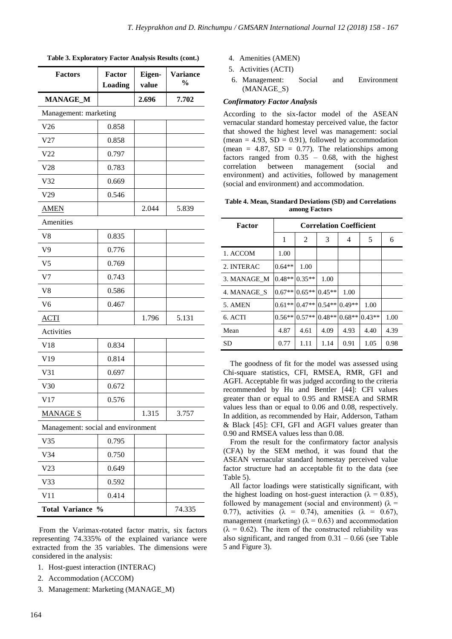| Table 3. Exploratory Factor Analysis Results (cont.) |  |  |  |  |
|------------------------------------------------------|--|--|--|--|
|------------------------------------------------------|--|--|--|--|

| <b>Factors</b>                     | <b>Factor</b><br>Loading | Eigen-<br>value | <b>Variance</b><br>$\frac{6}{9}$ |  |  |  |
|------------------------------------|--------------------------|-----------------|----------------------------------|--|--|--|
| <b>MANAGE_M</b>                    |                          | 2.696           | 7.702                            |  |  |  |
| Management: marketing              |                          |                 |                                  |  |  |  |
| V26                                | 0.858                    |                 |                                  |  |  |  |
| V27                                | 0.858                    |                 |                                  |  |  |  |
| V22                                | 0.797                    |                 |                                  |  |  |  |
| V28                                | 0.783                    |                 |                                  |  |  |  |
| V <sub>32</sub>                    | 0.669                    |                 |                                  |  |  |  |
| V29                                | 0.546                    |                 |                                  |  |  |  |
| <b>AMEN</b>                        |                          | 2.044           | 5.839                            |  |  |  |
| Amenities                          |                          |                 |                                  |  |  |  |
| V8                                 | 0.835                    |                 |                                  |  |  |  |
| V <sub>9</sub>                     | 0.776                    |                 |                                  |  |  |  |
| V <sub>5</sub>                     | 0.769                    |                 |                                  |  |  |  |
| V <sub>7</sub>                     | 0.743                    |                 |                                  |  |  |  |
| V8                                 | 0.586                    |                 |                                  |  |  |  |
| V <sub>6</sub>                     | 0.467                    |                 |                                  |  |  |  |
| <b>ACTI</b>                        |                          | 1.796           | 5.131                            |  |  |  |
| Activities                         |                          |                 |                                  |  |  |  |
| V18                                | 0.834                    |                 |                                  |  |  |  |
| V19                                | 0.814                    |                 |                                  |  |  |  |
| V31                                | 0.697                    |                 |                                  |  |  |  |
| V30                                | 0.672                    |                 |                                  |  |  |  |
| V17                                | 0.576                    |                 |                                  |  |  |  |
| <b>MANAGE S</b>                    |                          | 1.315           | 3.757                            |  |  |  |
| Management: social and environment |                          |                 |                                  |  |  |  |
| V35                                | 0.795                    |                 |                                  |  |  |  |
| V34                                | 0.750                    |                 |                                  |  |  |  |
| V <sub>23</sub>                    | 0.649                    |                 |                                  |  |  |  |
| V33                                | 0.592                    |                 |                                  |  |  |  |
| V11                                | 0.414                    |                 |                                  |  |  |  |
| <b>Total Variance</b>              | $\frac{0}{0}$            |                 | 74.335                           |  |  |  |

From the Varimax-rotated factor matrix, six factors representing 74.335% of the explained variance were extracted from the 35 variables. The dimensions were considered in the analysis:

- 1. Host-guest interaction (INTERAC)
- 2. Accommodation (ACCOM)
- 3. Management: Marketing (MANAGE\_M)
- 4. Amenities (AMEN)
- 5. Activities (ACTI)
- 6. Management: Social and Environment (MANAGE\_S)

#### *Confirmatory Factor Analysis*

According to the six-factor model of the ASEAN vernacular standard homestay perceived value, the factor that showed the highest level was management: social (mean  $= 4.93$ , SD  $= 0.91$ ), followed by accommodation (mean = 4.87,  $SD = 0.77$ ). The relationships among factors ranged from  $0.35 - 0.68$ , with the highest correlation between management (social and environment) and activities, followed by management (social and environment) and accommodation.

#### **Table 4. Mean, Standard Deviations (SD) and Correlations among Factors**

| Factor      | <b>Correlation Coefficient</b> |          |          |          |          |      |
|-------------|--------------------------------|----------|----------|----------|----------|------|
|             | 1                              | 2        | 3        | 4        | 5        | 6    |
| 1. ACCOM    | 1.00                           |          |          |          |          |      |
| 2. INTERAC  | $0.64**$                       | 1.00     |          |          |          |      |
| 3. MANAGE M | $0.48**$                       | $0.35**$ | 1.00     |          |          |      |
| 4. MANAGE S | $0.67**$                       | $0.65**$ | $0.45**$ | 1.00     |          |      |
| 5. AMEN     | $0.61**$                       | $0.47**$ | $0.54**$ | $0.49**$ | 1.00     |      |
| 6. ACTI     | $0.56**$                       | $0.57**$ | $0.48**$ | $0.68**$ | $0.43**$ | 1.00 |
| Mean        | 4.87                           | 4.61     | 4.09     | 4.93     | 4.40     | 4.39 |
| SD          | 0.77                           | 1.11     | 1.14     | 0.91     | 1.05     | 0.98 |

The goodness of fit for the model was assessed using Chi-square statistics, CFI, RMSEA, RMR, GFI and AGFI. Acceptable fit was judged according to the criteria recommended by Hu and Bentler [44]: CFI values greater than or equal to 0.95 and RMSEA and SRMR values less than or equal to 0.06 and 0.08, respectively. In addition, as recommended by Hair, Adderson, Tatham & Black [45]: CFI, GFI and AGFI values greater than 0.90 and RMSEA values less than 0.08.

From the result for the confirmatory factor analysis (CFA) by the SEM method, it was found that the ASEAN vernacular standard homestay perceived value factor structure had an acceptable fit to the data (see Table 5).

All factor loadings were statistically significant, with the highest loading on host-guest interaction ( $\lambda = 0.85$ ), followed by management (social and environment) ( $\lambda$  = 0.77), activities ( $\lambda = 0.74$ ), amenities ( $\lambda = 0.67$ ), management (marketing) ( $\lambda = 0.63$ ) and accommodation  $(\lambda = 0.62)$ . The item of the constructed reliability was also significant, and ranged from  $0.31 - 0.66$  (see Table 5 and Figure 3).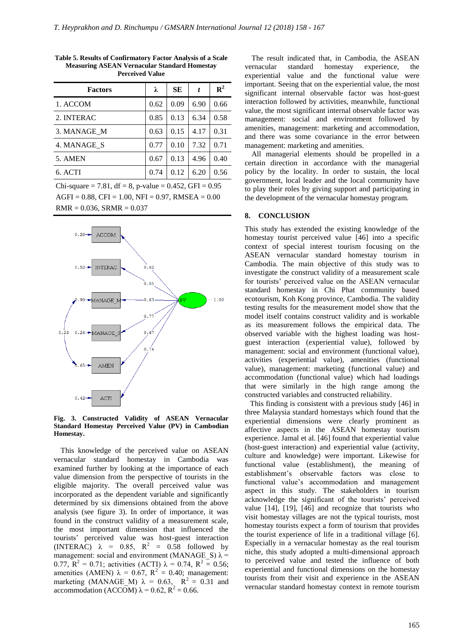| <b>Factors</b> | λ    | SЕ   | t    | ${\bf R}^2$ |
|----------------|------|------|------|-------------|
| 1. ACCOM       | 0.62 | 0.09 | 6.90 | 0.66        |
| 2. INTERAC     | 0.85 | 0.13 | 6.34 | 0.58        |
| 3. MANAGE M    | 0.63 | 0.15 | 4.17 | 0.31        |
| 4. MANAGE S    | 0.77 | 0.10 | 7.32 | 0.71        |
| 5. AMEN        | 0.67 | 0.13 | 4.96 | 0.40        |
| 6. ACTI        | 0.74 | 0.12 | 6.20 | 0.56        |
|                |      |      |      |             |

**Table 5. Results of Confirmatory Factor Analysis of a Scale Measuring ASEAN Vernacular Standard Homestay Perceived Value**

Chi-square = 7.81, df = 8, p-value = 0.452, GFI =  $0.95$  $AGFI = 0.88$ , CFI = 1.00, NFI = 0.97, RMSEA = 0.00  $RMR = 0.036$ ,  $SRMR = 0.037$ 



**Fig. 3. Constructed Validity of ASEAN Vernacular Standard Homestay Perceived Value (PV) in Cambodian Homestay.** 

This knowledge of the perceived value on ASEAN vernacular standard homestay in Cambodia was examined further by looking at the importance of each value dimension from the perspective of tourists in the eligible majority. The overall perceived value was incorporated as the dependent variable and significantly determined by six dimensions obtained from the above analysis (see figure 3). In order of importance, it was found in the construct validity of a measurement scale, the most important dimension that influenced the tourists" perceived value was host-guest interaction (INTERAC)  $\lambda = 0.85$ ,  $R^2 = 0.58$  followed by management: social and environment (MANAGE S)  $\lambda$  = 0.77,  $R^2 = 0.71$ ; activities (ACTI)  $\lambda = 0.74$ ,  $R^2 = 0.56$ ; amenities (AMEN)  $\lambda = 0.67$ ,  $R^2 = 0.40$ ; management: marketing (MANAGE M)  $\lambda = 0.63$ ,  $R^2 = 0.31$  and accommodation (ACCOM)  $\lambda = 0.62$ ,  $R^2 = 0.66$ .

The result indicated that, in Cambodia, the ASEAN vernacular standard homestay experience, the experiential value and the functional value were important. Seeing that on the experiential value, the most significant internal observable factor was host-guest interaction followed by activities, meanwhile, functional value, the most significant internal observable factor was management: social and environment followed by amenities, management: marketing and accommodation, and there was some covariance in the error between management: marketing and amenities.

All managerial elements should be propelled in a certain direction in accordance with the managerial policy by the locality. In order to sustain, the local government, local leader and the local community have to play their roles by giving support and participating in the development of the vernacular homestay program.

## **8. CONCLUSION**

This study has extended the existing knowledge of the homestay tourist perceived value [46] into a specific context of special interest tourism focusing on the ASEAN vernacular standard homestay tourism in Cambodia. The main objective of this study was to investigate the construct validity of a measurement scale for tourists' perceived value on the ASEAN vernacular standard homestay in Chi Phat community based ecotourism, Koh Kong province, Cambodia. The validity testing results for the measurement model show that the model itself contains construct validity and is workable as its measurement follows the empirical data. The observed variable with the highest loading was hostguest interaction (experiential value), followed by management: social and environment (functional value), activities (experiential value), amenities (functional value), management: marketing (functional value) and accommodation (functional value) which had loadings that were similarly in the high range among the constructed variables and constructed reliability.

This finding is consistent with a previous study [46] in three Malaysia standard homestays which found that the experiential dimensions were clearly prominent as affective aspects in the ASEAN homestay tourism experience. Jamal et al. [46] found that experiential value (host-guest interaction) and experiential value (activity, culture and knowledge) were important. Likewise for functional value (establishment), the meaning of establishment"s observable factors was close to functional value's accommodation and management aspect in this study. The stakeholders in tourism acknowledge the significant of the tourists" perceived value [14], [19], [46] and recognize that tourists who visit homestay villages are not the typical tourists, most homestay tourists expect a form of tourism that provides the tourist experience of life in a traditional village [6]. Especially in a vernacular homestay as the real tourism niche, this study adopted a multi-dimensional approach to perceived value and tested the influence of both experiential and functional dimensions on the homestay tourists from their visit and experience in the ASEAN vernacular standard homestay context in remote tourism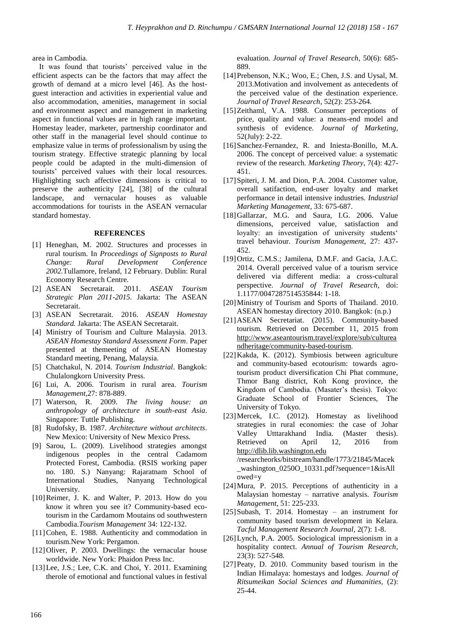area in Cambodia.

It was found that tourists' perceived value in the efficient aspects can be the factors that may affect the growth of demand at a micro level [46]. As the hostguest interaction and activities in experiential value and also accommodation, amenities, management in social and environment aspect and management in marketing aspect in functional values are in high range important. Homestay leader, marketer, partnership coordinator and other staff in the managerial level should continue to emphasize value in terms of professionalism by using the tourism strategy. Effective strategic planning by local people could be adapted in the multi-dimension of tourists" perceived values with their local resources. Highlighting such affective dimensions is critical to preserve the authenticity [24], [38] of the cultural landscape, and vernacular houses as valuable accommodations for tourists in the ASEAN vernacular standard homestay.

#### **REFERENCES**

- [1] Heneghan, M. 2002. Structures and processes in rural tourism. In *Proceedings of Signposts to Rural Change: Rural Development Conference 2002.*Tullamore, Ireland, 12 February. Dublin: Rural Economy Research Centre.
- [2] ASEAN Secretarait. 2011. *ASEAN Tourism Strategic Plan 2011-2015.* Jakarta: The ASEAN Secretarait.
- [3] ASEAN Secretarait. 2016. *ASEAN Homestay Standard.* Jakarta: The ASEAN Secretarait.
- [4] Ministry of Tourism and Culture Malaysia. 2013. *ASEAN Homestay Standard Assessment Form*. Paper presented at themeeting of ASEAN Homestay Standard meeting, Penang, Malaysia.
- [5] Chatchakul, N. 2014. *Tourism Industrial*. Bangkok: Chulalongkorn University Press.
- [6] Lui, A. 2006. Tourism in rural area. *Tourism Management,*27: 878-889.
- [7] Waterson, R. 2009. *The living house: an anthropology of architecture in south-east Asia*. Singapore: Tuttle Publishing.
- [8] Rudofsky, B. 1987. *Architecture without architects*. New Mexico: University of New Mexico Press.
- [9] Sarou, L. (2009). Livelihood strategies amongst indigenous peoples in the central Cadamom Protected Forest, Cambodia. (RSIS working paper no. 180. S.) Nanyang: Rajaratnam School of International Studies, Nanyang Technological University.
- [10] Reimer, J. K. and Walter, P. 2013. How do you know it whren you see it? Community-based ecotourism in the Cardamom Moutains od southwestern Cambodia.*Tourism Management* 34: 122-132.
- [11]Cohen, E. 1988. Authenticity and commodation in tourism.New York: Pergamon.
- [12]Oliver, P. 2003. Dwellings: the vernacular house worldwide. New York: Phaidon Press Inc.
- [13] Lee, J.S.; Lee, C.K. and Choi, Y. 2011. Examining therole of emotional and functional values in festival

evaluation. *Journal of Travel Research*, 50(6): 685- 889.

- [14] Prebenson, N.K.; Woo, E.; Chen, J.S. and Uysal, M. 2013.Motivation and involvement as antecedents of the perceived value of the destination experience. *Journal of Travel Research*, 52(2): 253-264.
- [15]Zeithaml, V.A. 1988. Consumer perceptions of price, quality and value: a means-end model and synthesis of evidence. *Journal of Marketing*, 52(July): 2-22.
- [16]Sanchez-Fernandez, R. and Iniesta-Bonillo, M.A. 2006. The concept of perceived value: a systematic review of the research. *Marketing Theory*, 7(4): 427- 451.
- [17]Spiteri, J. M. and Dion, P.A. 2004. Customer value, overall satifaction, end-user loyalty and market performance in detail intensive industries. *Industrial Marketing Management*, 33: 675-687.
- [18]Gallarzar, M.G. and Saura, I.G. 2006. Value dimensions, perceived value, satisfaction and loyalty: an investigation of university students' travel behaviour. *Tourism Management*, 27: 437- 452.
- [19] Ortiz, C.M.S.; Jamilena, D.M.F. and Gacia, J.A.C. 2014. Overall perceived value of a tourism service delivered via different media: a cross-cultural perspective. *Journal of Travel Research*, doi: 1.1177/0047287514535844: 1-18.
- [20]Ministry of Tourism and Sports of Thailand. 2010. ASEAN homestay directory 2010. Bangkok: (n.p.)
- [21]ASEAN Secretariat. (2015). Community-based tourism. Retrieved on December 11, 2015 from [http://www.aseantourism.travel/explore/sub/culturea](http://www.aseantourism.travel/explore/sub/cultureandheritage/community-based-tourism) [ndheritage/community-based-tourism.](http://www.aseantourism.travel/explore/sub/cultureandheritage/community-based-tourism)
- [22]Kakda, K. (2012). Symbiosis between agriculture and community-based ecotourism: towards agrotourism product diversification Chi Phat commune, Thmor Bang district, Koh Kong province, the Kingdom of Cambodia. (Masater's thesis). Tokyo: Graduate School of Frontier Sciences, The University of Tokyo.
- [23]Mercek, I.C. (2012). Homestay as livelihood strategies in rural economies: the case of Johar Valley Utttarakhand India. (Master thesis). Retrieved on April 12, 2016 from [http://dlib.lib.washington.edu](http://dlib.lib.washington.edu/) /researcheorks/bitstream/handle/1773/21845/Macek \_washington\_0250O\_10331.pdf?sequence=1&isAll owed=y
- [24]Mura, P. 2015. Perceptions of authenticity in a Malaysian homestay – narrative analysis. *Tourism Management*, 51: 225-233.
- [25]Subash, T. 2014. Homestay an instrument for community based tourism development in Kelara. *Tacful Management Research Journal*, 2(7): 1-8.
- [26]Lynch, P.A. 2005. Sociological impressionism in a hospitality contect. *Annual of Tourism Research*, 23(3): 527-548.
- [27] Peaty, D. 2010. Community based tourism in the Indian Himalaya: homestays and lodges. *Journal of Ritsumeikan Social Sciences and Humanities,* (2): 25-44.